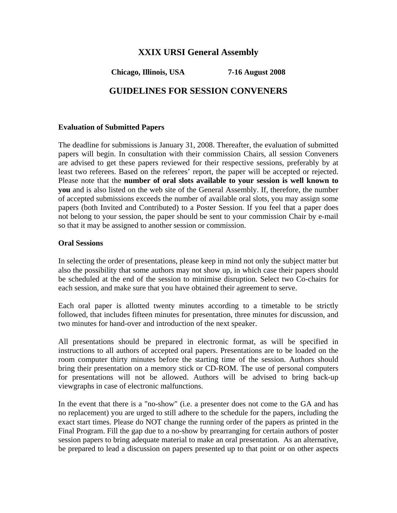# **XXIX URSI General Assembly**

**Chicago, Illinois, USA 7-16 August 2008** 

# **GUIDELINES FOR SESSION CONVENERS**

## **Evaluation of Submitted Papers**

The deadline for submissions is January 31, 2008. Thereafter, the evaluation of submitted papers will begin. In consultation with their commission Chairs, all session Conveners are advised to get these papers reviewed for their respective sessions, preferably by at least two referees. Based on the referees' report, the paper will be accepted or rejected. Please note that the **number of oral slots available to your session is well known to you** and is also listed on the web site of the General Assembly. If, therefore, the number of accepted submissions exceeds the number of available oral slots, you may assign some papers (both Invited and Contributed) to a Poster Session. If you feel that a paper does not belong to your session, the paper should be sent to your commission Chair by e-mail so that it may be assigned to another session or commission.

## **Oral Sessions**

In selecting the order of presentations, please keep in mind not only the subject matter but also the possibility that some authors may not show up, in which case their papers should be scheduled at the end of the session to minimise disruption. Select two Co-chairs for each session, and make sure that you have obtained their agreement to serve.

Each oral paper is allotted twenty minutes according to a timetable to be strictly followed, that includes fifteen minutes for presentation, three minutes for discussion, and two minutes for hand-over and introduction of the next speaker.

All presentations should be prepared in electronic format, as will be specified in instructions to all authors of accepted oral papers. Presentations are to be loaded on the room computer thirty minutes before the starting time of the session. Authors should bring their presentation on a memory stick or CD-ROM. The use of personal computers for presentations will not be allowed. Authors will be advised to bring back-up viewgraphs in case of electronic malfunctions.

In the event that there is a "no-show" (i.e. a presenter does not come to the GA and has no replacement) you are urged to still adhere to the schedule for the papers, including the exact start times. Please do NOT change the running order of the papers as printed in the Final Program. Fill the gap due to a no-show by prearranging for certain authors of poster session papers to bring adequate material to make an oral presentation. As an alternative, be prepared to lead a discussion on papers presented up to that point or on other aspects